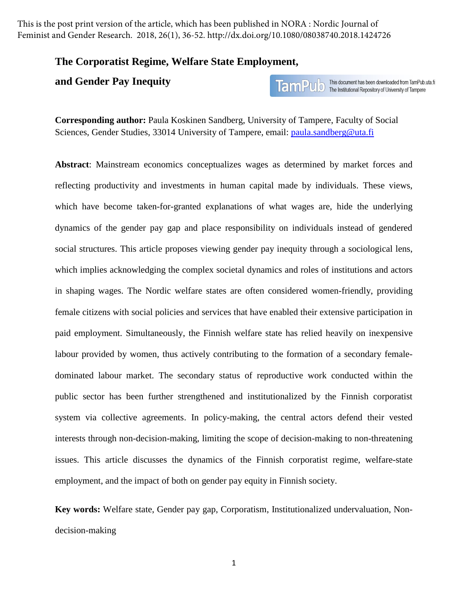This is the post print version of the article, which has been published in NORA : Nordic Journal of Feminist and Gender Research. 2018, 26(1), 36-52. http://dx.doi.org/10.1080/08038740.2018.1424726

## **The Corporatist Regime, Welfare State Employment,**

## **and Gender Pay Inequity**

**TamPulo** This document has been downloaded from TamPub.uta.fi<br>TamPulo The Institutional Repository of University of Tampere

**Corresponding author:** Paula Koskinen Sandberg, University of Tampere, Faculty of Social Sciences, Gender Studies, 33014 University of Tampere, email: paula.sandberg@uta.fi

**Abstract**: Mainstream economics conceptualizes wages as determined by market forces and reflecting productivity and investments in human capital made by individuals. These views, which have become taken-for-granted explanations of what wages are, hide the underlying dynamics of the gender pay gap and place responsibility on individuals instead of gendered social structures. This article proposes viewing gender pay inequity through a sociological lens, which implies acknowledging the complex societal dynamics and roles of institutions and actors in shaping wages. The Nordic welfare states are often considered women-friendly, providing female citizens with social policies and services that have enabled their extensive participation in paid employment. Simultaneously, the Finnish welfare state has relied heavily on inexpensive labour provided by women, thus actively contributing to the formation of a secondary femaledominated labour market. The secondary status of reproductive work conducted within the public sector has been further strengthened and institutionalized by the Finnish corporatist system via collective agreements. In policy-making, the central actors defend their vested interests through non-decision-making, limiting the scope of decision-making to non-threatening issues. This article discusses the dynamics of the Finnish corporatist regime, welfare-state employment, and the impact of both on gender pay equity in Finnish society.

**Key words:** Welfare state, Gender pay gap, Corporatism, Institutionalized undervaluation, Nondecision-making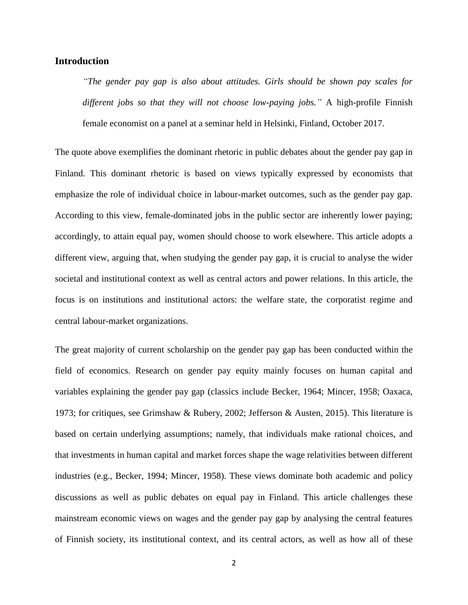## **Introduction**

*"The gender pay gap is also about attitudes. Girls should be shown pay scales for different jobs so that they will not choose low-paying jobs."* A high-profile Finnish female economist on a panel at a seminar held in Helsinki, Finland, October 2017.

The quote above exemplifies the dominant rhetoric in public debates about the gender pay gap in Finland. This dominant rhetoric is based on views typically expressed by economists that emphasize the role of individual choice in labour-market outcomes, such as the gender pay gap. According to this view, female-dominated jobs in the public sector are inherently lower paying; accordingly, to attain equal pay, women should choose to work elsewhere. This article adopts a different view, arguing that, when studying the gender pay gap, it is crucial to analyse the wider societal and institutional context as well as central actors and power relations. In this article, the focus is on institutions and institutional actors: the welfare state, the corporatist regime and central labour-market organizations.

The great majority of current scholarship on the gender pay gap has been conducted within the field of economics. Research on gender pay equity mainly focuses on human capital and variables explaining the gender pay gap (classics include Becker, 1964; Mincer, 1958; Oaxaca, 1973; for critiques, see Grimshaw & Rubery, 2002; Jefferson & Austen, 2015). This literature is based on certain underlying assumptions; namely, that individuals make rational choices, and that investments in human capital and market forces shape the wage relativities between different industries (e.g., Becker, 1994; Mincer, 1958). These views dominate both academic and policy discussions as well as public debates on equal pay in Finland. This article challenges these mainstream economic views on wages and the gender pay gap by analysing the central features of Finnish society, its institutional context, and its central actors, as well as how all of these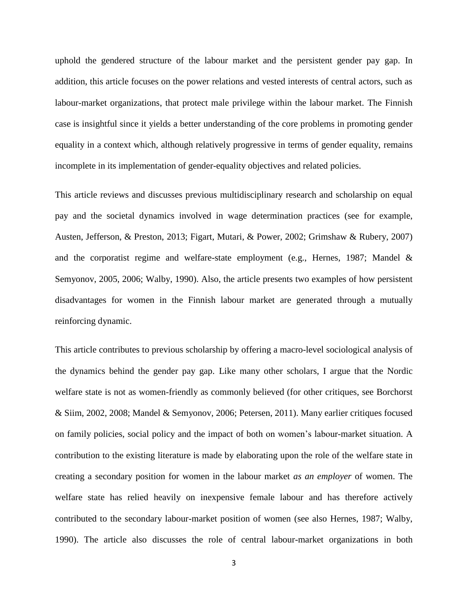uphold the gendered structure of the labour market and the persistent gender pay gap. In addition, this article focuses on the power relations and vested interests of central actors, such as labour-market organizations, that protect male privilege within the labour market. The Finnish case is insightful since it yields a better understanding of the core problems in promoting gender equality in a context which, although relatively progressive in terms of gender equality, remains incomplete in its implementation of gender-equality objectives and related policies.

This article reviews and discusses previous multidisciplinary research and scholarship on equal pay and the societal dynamics involved in wage determination practices (see for example, Austen, Jefferson, & Preston, 2013; Figart, Mutari, & Power, 2002; Grimshaw & Rubery, 2007) and the corporatist regime and welfare-state employment (e.g., Hernes, 1987; Mandel & Semyonov, 2005, 2006; Walby, 1990). Also, the article presents two examples of how persistent disadvantages for women in the Finnish labour market are generated through a mutually reinforcing dynamic.

This article contributes to previous scholarship by offering a macro-level sociological analysis of the dynamics behind the gender pay gap. Like many other scholars, I argue that the Nordic welfare state is not as women-friendly as commonly believed (for other critiques, see Borchorst & Siim, 2002, 2008; Mandel & Semyonov, 2006; Petersen, 2011). Many earlier critiques focused on family policies, social policy and the impact of both on women's labour-market situation. A contribution to the existing literature is made by elaborating upon the role of the welfare state in creating a secondary position for women in the labour market *as an employer* of women. The welfare state has relied heavily on inexpensive female labour and has therefore actively contributed to the secondary labour-market position of women (see also Hernes, 1987; Walby, 1990). The article also discusses the role of central labour-market organizations in both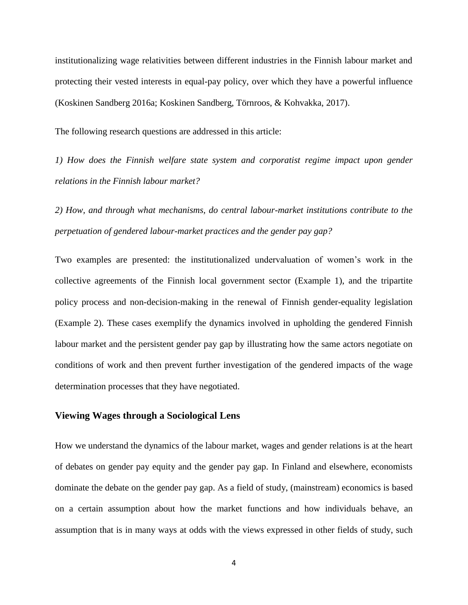institutionalizing wage relativities between different industries in the Finnish labour market and protecting their vested interests in equal-pay policy, over which they have a powerful influence (Koskinen Sandberg 2016a; Koskinen Sandberg, Törnroos, & Kohvakka, 2017).

The following research questions are addressed in this article:

*1) How does the Finnish welfare state system and corporatist regime impact upon gender relations in the Finnish labour market?*

*2) How, and through what mechanisms, do central labour-market institutions contribute to the perpetuation of gendered labour-market practices and the gender pay gap?* 

Two examples are presented: the institutionalized undervaluation of women's work in the collective agreements of the Finnish local government sector (Example 1), and the tripartite policy process and non-decision-making in the renewal of Finnish gender-equality legislation (Example 2). These cases exemplify the dynamics involved in upholding the gendered Finnish labour market and the persistent gender pay gap by illustrating how the same actors negotiate on conditions of work and then prevent further investigation of the gendered impacts of the wage determination processes that they have negotiated.

## **Viewing Wages through a Sociological Lens**

How we understand the dynamics of the labour market, wages and gender relations is at the heart of debates on gender pay equity and the gender pay gap. In Finland and elsewhere, economists dominate the debate on the gender pay gap. As a field of study, (mainstream) economics is based on a certain assumption about how the market functions and how individuals behave, an assumption that is in many ways at odds with the views expressed in other fields of study, such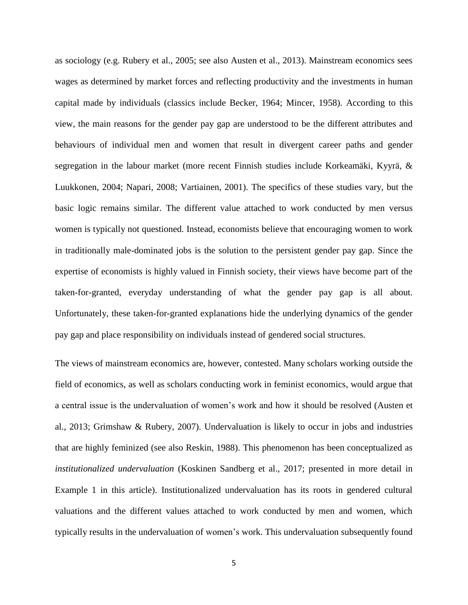as sociology (e.g. Rubery et al., 2005; see also Austen et al., 2013). Mainstream economics sees wages as determined by market forces and reflecting productivity and the investments in human capital made by individuals (classics include Becker, 1964; Mincer, 1958). According to this view, the main reasons for the gender pay gap are understood to be the different attributes and behaviours of individual men and women that result in divergent career paths and gender segregation in the labour market (more recent Finnish studies include Korkeamäki, Kyyrä, & Luukkonen, 2004; Napari, 2008; Vartiainen, 2001). The specifics of these studies vary, but the basic logic remains similar. The different value attached to work conducted by men versus women is typically not questioned. Instead, economists believe that encouraging women to work in traditionally male-dominated jobs is the solution to the persistent gender pay gap. Since the expertise of economists is highly valued in Finnish society, their views have become part of the taken-for-granted, everyday understanding of what the gender pay gap is all about. Unfortunately, these taken-for-granted explanations hide the underlying dynamics of the gender pay gap and place responsibility on individuals instead of gendered social structures.

The views of mainstream economics are, however, contested. Many scholars working outside the field of economics, as well as scholars conducting work in feminist economics, would argue that a central issue is the undervaluation of women's work and how it should be resolved (Austen et al., 2013; Grimshaw & Rubery, 2007). Undervaluation is likely to occur in jobs and industries that are highly feminized (see also Reskin, 1988). This phenomenon has been conceptualized as *institutionalized undervaluation* (Koskinen Sandberg et al., 2017; presented in more detail in Example 1 in this article). Institutionalized undervaluation has its roots in gendered cultural valuations and the different values attached to work conducted by men and women, which typically results in the undervaluation of women's work. This undervaluation subsequently found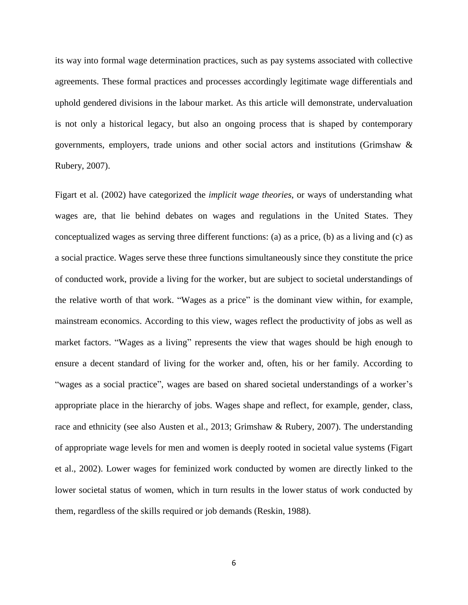its way into formal wage determination practices, such as pay systems associated with collective agreements. These formal practices and processes accordingly legitimate wage differentials and uphold gendered divisions in the labour market. As this article will demonstrate, undervaluation is not only a historical legacy, but also an ongoing process that is shaped by contemporary governments, employers, trade unions and other social actors and institutions (Grimshaw & Rubery, 2007).

Figart et al. (2002) have categorized the *implicit wage theories*, or ways of understanding what wages are, that lie behind debates on wages and regulations in the United States. They conceptualized wages as serving three different functions: (a) as a price, (b) as a living and (c) as a social practice. Wages serve these three functions simultaneously since they constitute the price of conducted work, provide a living for the worker, but are subject to societal understandings of the relative worth of that work. "Wages as a price" is the dominant view within, for example, mainstream economics. According to this view, wages reflect the productivity of jobs as well as market factors. "Wages as a living" represents the view that wages should be high enough to ensure a decent standard of living for the worker and, often, his or her family. According to "wages as a social practice", wages are based on shared societal understandings of a worker's appropriate place in the hierarchy of jobs. Wages shape and reflect, for example, gender, class, race and ethnicity (see also Austen et al., 2013; Grimshaw & Rubery, 2007). The understanding of appropriate wage levels for men and women is deeply rooted in societal value systems (Figart et al., 2002). Lower wages for feminized work conducted by women are directly linked to the lower societal status of women, which in turn results in the lower status of work conducted by them, regardless of the skills required or job demands (Reskin, 1988).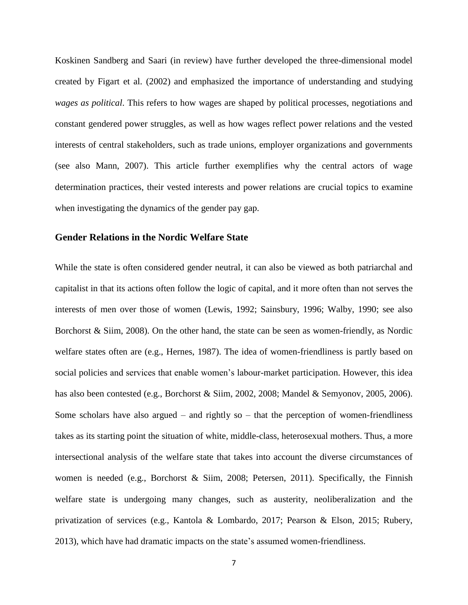Koskinen Sandberg and Saari (in review) have further developed the three-dimensional model created by Figart et al. (2002) and emphasized the importance of understanding and studying *wages as political*. This refers to how wages are shaped by political processes, negotiations and constant gendered power struggles, as well as how wages reflect power relations and the vested interests of central stakeholders, such as trade unions, employer organizations and governments (see also Mann, 2007). This article further exemplifies why the central actors of wage determination practices, their vested interests and power relations are crucial topics to examine when investigating the dynamics of the gender pay gap.

## **Gender Relations in the Nordic Welfare State**

While the state is often considered gender neutral, it can also be viewed as both patriarchal and capitalist in that its actions often follow the logic of capital, and it more often than not serves the interests of men over those of women (Lewis, 1992; Sainsbury, 1996; Walby, 1990; see also Borchorst & Siim, 2008). On the other hand, the state can be seen as women-friendly, as Nordic welfare states often are (e.g., Hernes, 1987). The idea of women-friendliness is partly based on social policies and services that enable women's labour-market participation. However, this idea has also been contested (e.g., Borchorst & Siim, 2002, 2008; Mandel & Semyonov, 2005, 2006). Some scholars have also argued – and rightly so – that the perception of women-friendliness takes as its starting point the situation of white, middle-class, heterosexual mothers. Thus, a more intersectional analysis of the welfare state that takes into account the diverse circumstances of women is needed (e.g., Borchorst & Siim, 2008; Petersen, 2011). Specifically, the Finnish welfare state is undergoing many changes, such as austerity, neoliberalization and the privatization of services (e.g., Kantola & Lombardo, 2017; Pearson & Elson, 2015; Rubery, 2013), which have had dramatic impacts on the state's assumed women-friendliness.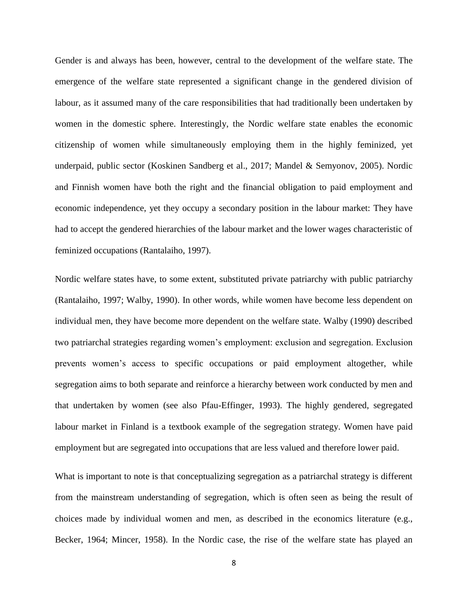Gender is and always has been, however, central to the development of the welfare state. The emergence of the welfare state represented a significant change in the gendered division of labour, as it assumed many of the care responsibilities that had traditionally been undertaken by women in the domestic sphere. Interestingly, the Nordic welfare state enables the economic citizenship of women while simultaneously employing them in the highly feminized, yet underpaid, public sector (Koskinen Sandberg et al., 2017; Mandel & Semyonov, 2005). Nordic and Finnish women have both the right and the financial obligation to paid employment and economic independence, yet they occupy a secondary position in the labour market: They have had to accept the gendered hierarchies of the labour market and the lower wages characteristic of feminized occupations (Rantalaiho, 1997).

Nordic welfare states have, to some extent, substituted private patriarchy with public patriarchy (Rantalaiho, 1997; Walby, 1990). In other words, while women have become less dependent on individual men, they have become more dependent on the welfare state. Walby (1990) described two patriarchal strategies regarding women's employment: exclusion and segregation. Exclusion prevents women's access to specific occupations or paid employment altogether, while segregation aims to both separate and reinforce a hierarchy between work conducted by men and that undertaken by women (see also Pfau-Effinger, 1993). The highly gendered, segregated labour market in Finland is a textbook example of the segregation strategy. Women have paid employment but are segregated into occupations that are less valued and therefore lower paid.

What is important to note is that conceptualizing segregation as a patriarchal strategy is different from the mainstream understanding of segregation, which is often seen as being the result of choices made by individual women and men, as described in the economics literature (e.g., Becker, 1964; Mincer, 1958). In the Nordic case, the rise of the welfare state has played an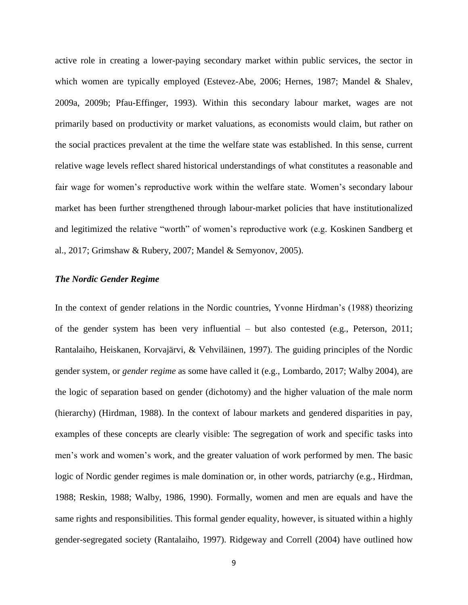active role in creating a lower-paying secondary market within public services, the sector in which women are typically employed (Estevez-Abe, 2006; Hernes, 1987; Mandel & Shalev, 2009a, 2009b; Pfau-Effinger, 1993). Within this secondary labour market, wages are not primarily based on productivity or market valuations, as economists would claim, but rather on the social practices prevalent at the time the welfare state was established. In this sense, current relative wage levels reflect shared historical understandings of what constitutes a reasonable and fair wage for women's reproductive work within the welfare state. Women's secondary labour market has been further strengthened through labour-market policies that have institutionalized and legitimized the relative "worth" of women's reproductive work (e.g. Koskinen Sandberg et al., 2017; Grimshaw & Rubery, 2007; Mandel & Semyonov, 2005).

#### *The Nordic Gender Regime*

In the context of gender relations in the Nordic countries, Yvonne Hirdman's (1988) theorizing of the gender system has been very influential – but also contested (e.g., Peterson, 2011; Rantalaiho, Heiskanen, Korvajärvi, & Vehviläinen, 1997). The guiding principles of the Nordic gender system, or *gender regime* as some have called it (e.g., Lombardo, 2017; Walby 2004), are the logic of separation based on gender (dichotomy) and the higher valuation of the male norm (hierarchy) (Hirdman, 1988). In the context of labour markets and gendered disparities in pay, examples of these concepts are clearly visible: The segregation of work and specific tasks into men's work and women's work, and the greater valuation of work performed by men. The basic logic of Nordic gender regimes is male domination or, in other words, patriarchy (e.g., Hirdman, 1988; Reskin, 1988; Walby, 1986, 1990). Formally, women and men are equals and have the same rights and responsibilities. This formal gender equality, however, is situated within a highly gender-segregated society (Rantalaiho, 1997). Ridgeway and Correll (2004) have outlined how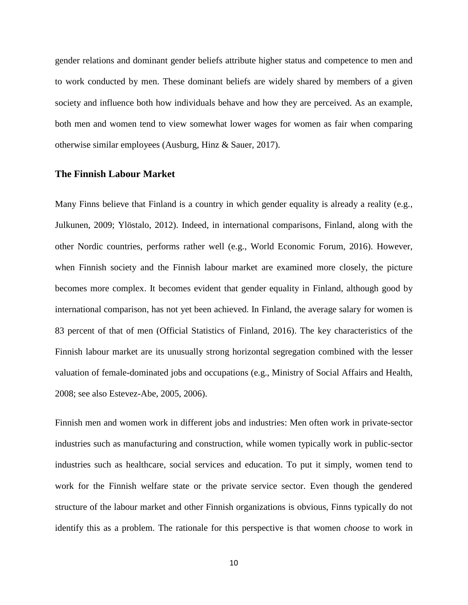gender relations and dominant gender beliefs attribute higher status and competence to men and to work conducted by men. These dominant beliefs are widely shared by members of a given society and influence both how individuals behave and how they are perceived. As an example, both men and women tend to view somewhat lower wages for women as fair when comparing otherwise similar employees (Ausburg, Hinz & Sauer, 2017).

## **The Finnish Labour Market**

Many Finns believe that Finland is a country in which gender equality is already a reality (e.g., Julkunen, 2009; Ylöstalo, 2012). Indeed, in international comparisons, Finland, along with the other Nordic countries, performs rather well (e.g., World Economic Forum, 2016). However, when Finnish society and the Finnish labour market are examined more closely, the picture becomes more complex. It becomes evident that gender equality in Finland, although good by international comparison, has not yet been achieved. In Finland, the average salary for women is 83 percent of that of men (Official Statistics of Finland, 2016). The key characteristics of the Finnish labour market are its unusually strong horizontal segregation combined with the lesser valuation of female-dominated jobs and occupations (e.g., Ministry of Social Affairs and Health, 2008; see also Estevez-Abe, 2005, 2006).

Finnish men and women work in different jobs and industries: Men often work in private-sector industries such as manufacturing and construction, while women typically work in public-sector industries such as healthcare, social services and education. To put it simply, women tend to work for the Finnish welfare state or the private service sector. Even though the gendered structure of the labour market and other Finnish organizations is obvious, Finns typically do not identify this as a problem. The rationale for this perspective is that women *choose* to work in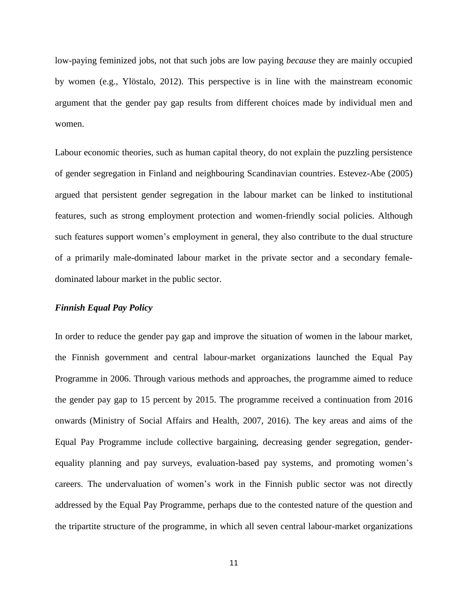low-paying feminized jobs, not that such jobs are low paying *because* they are mainly occupied by women (e.g., Ylöstalo, 2012). This perspective is in line with the mainstream economic argument that the gender pay gap results from different choices made by individual men and women.

Labour economic theories, such as human capital theory, do not explain the puzzling persistence of gender segregation in Finland and neighbouring Scandinavian countries. Estevez-Abe (2005) argued that persistent gender segregation in the labour market can be linked to institutional features, such as strong employment protection and women-friendly social policies. Although such features support women's employment in general, they also contribute to the dual structure of a primarily male-dominated labour market in the private sector and a secondary femaledominated labour market in the public sector.

#### *Finnish Equal Pay Policy*

In order to reduce the gender pay gap and improve the situation of women in the labour market, the Finnish government and central labour-market organizations launched the Equal Pay Programme in 2006. Through various methods and approaches, the programme aimed to reduce the gender pay gap to 15 percent by 2015. The programme received a continuation from 2016 onwards (Ministry of Social Affairs and Health, 2007, 2016). The key areas and aims of the Equal Pay Programme include collective bargaining, decreasing gender segregation, genderequality planning and pay surveys, evaluation-based pay systems, and promoting women's careers. The undervaluation of women's work in the Finnish public sector was not directly addressed by the Equal Pay Programme, perhaps due to the contested nature of the question and the tripartite structure of the programme, in which all seven central labour-market organizations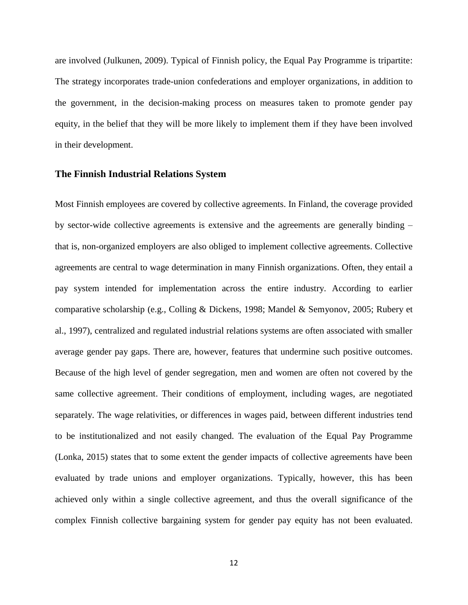are involved (Julkunen, 2009). Typical of Finnish policy, the Equal Pay Programme is tripartite: The strategy incorporates trade-union confederations and employer organizations, in addition to the government, in the decision-making process on measures taken to promote gender pay equity, in the belief that they will be more likely to implement them if they have been involved in their development.

#### **The Finnish Industrial Relations System**

Most Finnish employees are covered by collective agreements. In Finland, the coverage provided by sector-wide collective agreements is extensive and the agreements are generally binding – that is, non-organized employers are also obliged to implement collective agreements. Collective agreements are central to wage determination in many Finnish organizations. Often, they entail a pay system intended for implementation across the entire industry. According to earlier comparative scholarship (e.g., Colling & Dickens, 1998; Mandel & Semyonov, 2005; Rubery et al., 1997), centralized and regulated industrial relations systems are often associated with smaller average gender pay gaps. There are, however, features that undermine such positive outcomes. Because of the high level of gender segregation, men and women are often not covered by the same collective agreement. Their conditions of employment, including wages, are negotiated separately. The wage relativities, or differences in wages paid, between different industries tend to be institutionalized and not easily changed. The evaluation of the Equal Pay Programme (Lonka, 2015) states that to some extent the gender impacts of collective agreements have been evaluated by trade unions and employer organizations. Typically, however, this has been achieved only within a single collective agreement, and thus the overall significance of the complex Finnish collective bargaining system for gender pay equity has not been evaluated.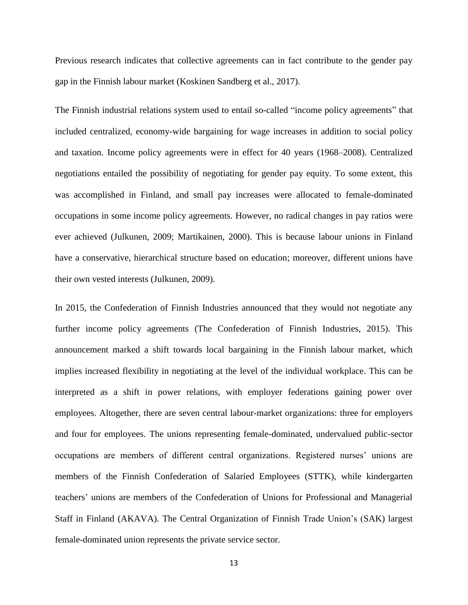Previous research indicates that collective agreements can in fact contribute to the gender pay gap in the Finnish labour market (Koskinen Sandberg et al., 2017).

The Finnish industrial relations system used to entail so-called "income policy agreements" that included centralized, economy-wide bargaining for wage increases in addition to social policy and taxation. Income policy agreements were in effect for 40 years (1968–2008). Centralized negotiations entailed the possibility of negotiating for gender pay equity. To some extent, this was accomplished in Finland, and small pay increases were allocated to female-dominated occupations in some income policy agreements. However, no radical changes in pay ratios were ever achieved (Julkunen, 2009; Martikainen, 2000). This is because labour unions in Finland have a conservative, hierarchical structure based on education; moreover, different unions have their own vested interests (Julkunen, 2009).

In 2015, the Confederation of Finnish Industries announced that they would not negotiate any further income policy agreements (The Confederation of Finnish Industries, 2015). This announcement marked a shift towards local bargaining in the Finnish labour market, which implies increased flexibility in negotiating at the level of the individual workplace. This can be interpreted as a shift in power relations, with employer federations gaining power over employees. Altogether, there are seven central labour-market organizations: three for employers and four for employees. The unions representing female-dominated, undervalued public-sector occupations are members of different central organizations. Registered nurses' unions are members of the Finnish Confederation of Salaried Employees (STTK), while kindergarten teachers' unions are members of the Confederation of Unions for Professional and Managerial Staff in Finland (AKAVA). The Central Organization of Finnish Trade Union's (SAK) largest female-dominated union represents the private service sector.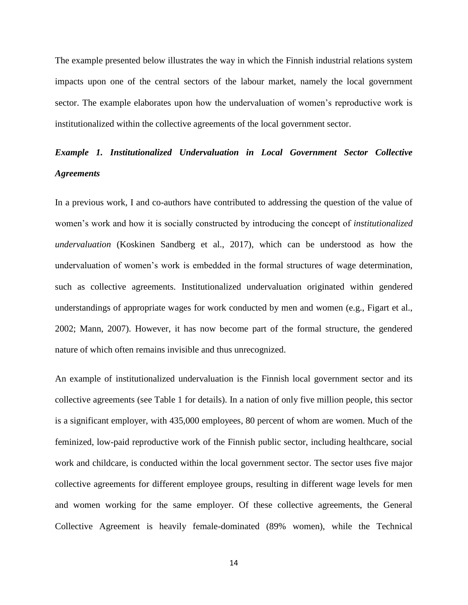The example presented below illustrates the way in which the Finnish industrial relations system impacts upon one of the central sectors of the labour market, namely the local government sector. The example elaborates upon how the undervaluation of women's reproductive work is institutionalized within the collective agreements of the local government sector.

# *Example 1. Institutionalized Undervaluation in Local Government Sector Collective Agreements*

In a previous work, I and co-authors have contributed to addressing the question of the value of women's work and how it is socially constructed by introducing the concept of *institutionalized undervaluation* (Koskinen Sandberg et al., 2017), which can be understood as how the undervaluation of women's work is embedded in the formal structures of wage determination, such as collective agreements. Institutionalized undervaluation originated within gendered understandings of appropriate wages for work conducted by men and women (e.g., Figart et al., 2002; Mann, 2007). However, it has now become part of the formal structure, the gendered nature of which often remains invisible and thus unrecognized.

An example of institutionalized undervaluation is the Finnish local government sector and its collective agreements (see Table 1 for details). In a nation of only five million people, this sector is a significant employer, with 435,000 employees, 80 percent of whom are women. Much of the feminized, low-paid reproductive work of the Finnish public sector, including healthcare, social work and childcare, is conducted within the local government sector. The sector uses five major collective agreements for different employee groups, resulting in different wage levels for men and women working for the same employer. Of these collective agreements, the General Collective Agreement is heavily female-dominated (89% women), while the Technical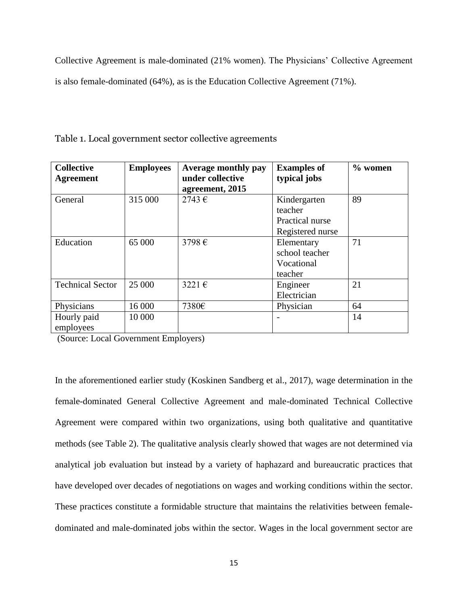Collective Agreement is male-dominated (21% women). The Physicians' Collective Agreement is also female-dominated (64%), as is the Education Collective Agreement (71%).

| <b>Collective</b><br><b>Agreement</b> | <b>Employees</b> | Average monthly pay<br>under collective<br>agreement, 2015 | <b>Examples of</b><br>typical jobs                             | $%$ women |
|---------------------------------------|------------------|------------------------------------------------------------|----------------------------------------------------------------|-----------|
| General                               | 315 000          | $2743 \in$                                                 | Kindergarten<br>teacher<br>Practical nurse<br>Registered nurse | 89        |
| Education                             | 65 000           | 3798€                                                      | Elementary<br>school teacher<br>Vocational<br>teacher          | 71        |
| <b>Technical Sector</b>               | 25 000           | 3221 $\varepsilon$                                         | Engineer<br>Electrician                                        | 21        |
| Physicians                            | 16 000           | 7380€                                                      | Physician                                                      | 64        |
| Hourly paid<br>employees              | 10 000           |                                                            |                                                                | 14        |

Table 1. Local government sector collective agreements

(Source: Local Government Employers)

In the aforementioned earlier study (Koskinen Sandberg et al., 2017), wage determination in the female-dominated General Collective Agreement and male-dominated Technical Collective Agreement were compared within two organizations, using both qualitative and quantitative methods (see Table 2). The qualitative analysis clearly showed that wages are not determined via analytical job evaluation but instead by a variety of haphazard and bureaucratic practices that have developed over decades of negotiations on wages and working conditions within the sector. These practices constitute a formidable structure that maintains the relativities between femaledominated and male-dominated jobs within the sector. Wages in the local government sector are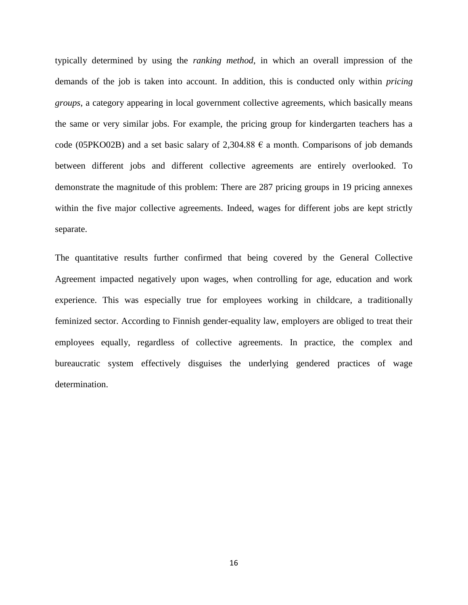typically determined by using the *ranking method*, in which an overall impression of the demands of the job is taken into account. In addition, this is conducted only within *pricing groups*, a category appearing in local government collective agreements, which basically means the same or very similar jobs. For example, the pricing group for kindergarten teachers has a code (05PKO02B) and a set basic salary of 2,304.88  $\epsilon$  a month. Comparisons of job demands between different jobs and different collective agreements are entirely overlooked. To demonstrate the magnitude of this problem: There are 287 pricing groups in 19 pricing annexes within the five major collective agreements. Indeed, wages for different jobs are kept strictly separate.

The quantitative results further confirmed that being covered by the General Collective Agreement impacted negatively upon wages, when controlling for age, education and work experience. This was especially true for employees working in childcare, a traditionally feminized sector. According to Finnish gender-equality law, employers are obliged to treat their employees equally, regardless of collective agreements. In practice, the complex and bureaucratic system effectively disguises the underlying gendered practices of wage determination.

16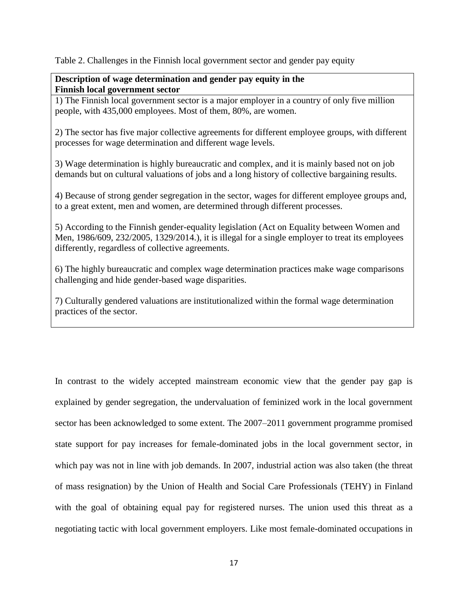Table 2. Challenges in the Finnish local government sector and gender pay equity

## **Description of wage determination and gender pay equity in the Finnish local government sector**

1) The Finnish local government sector is a major employer in a country of only five million people, with 435,000 employees. Most of them, 80%, are women.

2) The sector has five major collective agreements for different employee groups, with different processes for wage determination and different wage levels.

3) Wage determination is highly bureaucratic and complex, and it is mainly based not on job demands but on cultural valuations of jobs and a long history of collective bargaining results.

4) Because of strong gender segregation in the sector, wages for different employee groups and, to a great extent, men and women, are determined through different processes.

5) According to the Finnish gender-equality legislation (Act on Equality between Women and Men, 1986/609, 232/2005, 1329/2014.), it is illegal for a single employer to treat its employees differently, regardless of collective agreements.

6) The highly bureaucratic and complex wage determination practices make wage comparisons challenging and hide gender-based wage disparities.

7) Culturally gendered valuations are institutionalized within the formal wage determination practices of the sector.

In contrast to the widely accepted mainstream economic view that the gender pay gap is explained by gender segregation, the undervaluation of feminized work in the local government sector has been acknowledged to some extent. The 2007–2011 government programme promised state support for pay increases for female-dominated jobs in the local government sector, in which pay was not in line with job demands. In 2007, industrial action was also taken (the threat of mass resignation) by the Union of Health and Social Care Professionals (TEHY) in Finland with the goal of obtaining equal pay for registered nurses. The union used this threat as a negotiating tactic with local government employers. Like most female-dominated occupations in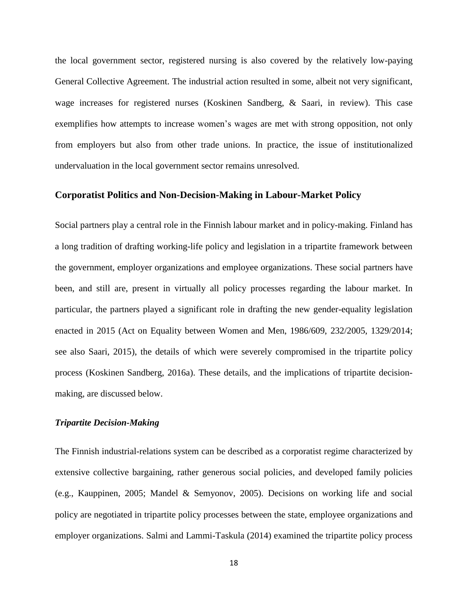the local government sector, registered nursing is also covered by the relatively low-paying General Collective Agreement. The industrial action resulted in some, albeit not very significant, wage increases for registered nurses (Koskinen Sandberg, & Saari, in review). This case exemplifies how attempts to increase women's wages are met with strong opposition, not only from employers but also from other trade unions. In practice, the issue of institutionalized undervaluation in the local government sector remains unresolved.

## **Corporatist Politics and Non-Decision-Making in Labour-Market Policy**

Social partners play a central role in the Finnish labour market and in policy-making. Finland has a long tradition of drafting working-life policy and legislation in a tripartite framework between the government, employer organizations and employee organizations. These social partners have been, and still are, present in virtually all policy processes regarding the labour market. In particular, the partners played a significant role in drafting the new gender-equality legislation enacted in 2015 (Act on Equality between Women and Men, 1986/609, 232/2005, 1329/2014; see also Saari, 2015), the details of which were severely compromised in the tripartite policy process (Koskinen Sandberg, 2016a). These details, and the implications of tripartite decisionmaking, are discussed below.

### *Tripartite Decision-Making*

The Finnish industrial-relations system can be described as a corporatist regime characterized by extensive collective bargaining, rather generous social policies, and developed family policies (e.g., Kauppinen, 2005; Mandel & Semyonov, 2005). Decisions on working life and social policy are negotiated in tripartite policy processes between the state, employee organizations and employer organizations. Salmi and Lammi-Taskula (2014) examined the tripartite policy process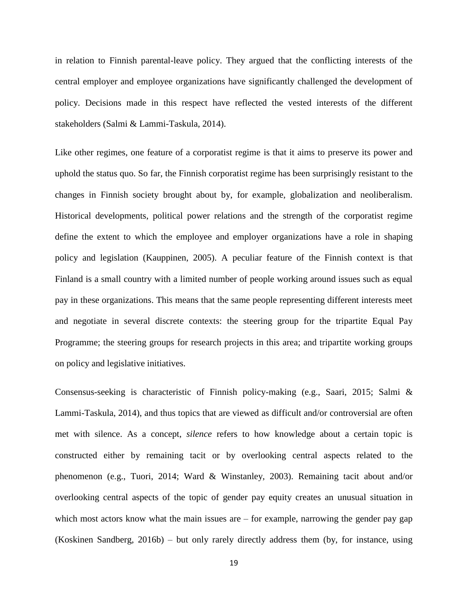in relation to Finnish parental-leave policy. They argued that the conflicting interests of the central employer and employee organizations have significantly challenged the development of policy. Decisions made in this respect have reflected the vested interests of the different stakeholders (Salmi & Lammi-Taskula, 2014).

Like other regimes, one feature of a corporatist regime is that it aims to preserve its power and uphold the status quo. So far, the Finnish corporatist regime has been surprisingly resistant to the changes in Finnish society brought about by, for example, globalization and neoliberalism. Historical developments, political power relations and the strength of the corporatist regime define the extent to which the employee and employer organizations have a role in shaping policy and legislation (Kauppinen, 2005). A peculiar feature of the Finnish context is that Finland is a small country with a limited number of people working around issues such as equal pay in these organizations. This means that the same people representing different interests meet and negotiate in several discrete contexts: the steering group for the tripartite Equal Pay Programme; the steering groups for research projects in this area; and tripartite working groups on policy and legislative initiatives.

Consensus-seeking is characteristic of Finnish policy-making (e.g., Saari, 2015; Salmi & Lammi-Taskula, 2014), and thus topics that are viewed as difficult and/or controversial are often met with silence. As a concept, *silence* refers to how knowledge about a certain topic is constructed either by remaining tacit or by overlooking central aspects related to the phenomenon (e.g., Tuori, 2014; Ward & Winstanley, 2003). Remaining tacit about and/or overlooking central aspects of the topic of gender pay equity creates an unusual situation in which most actors know what the main issues are – for example, narrowing the gender pay gap (Koskinen Sandberg, 2016b) – but only rarely directly address them (by, for instance, using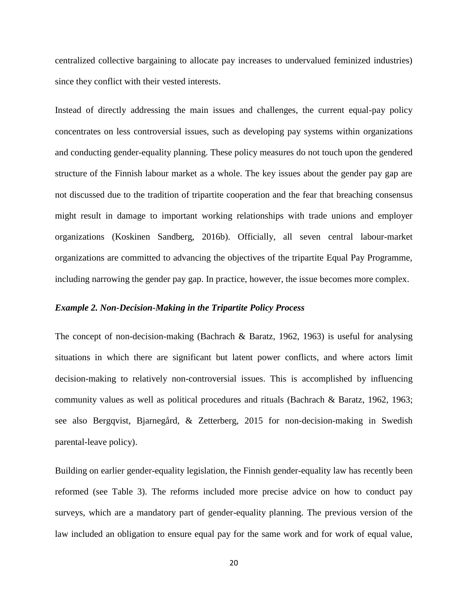centralized collective bargaining to allocate pay increases to undervalued feminized industries) since they conflict with their vested interests.

Instead of directly addressing the main issues and challenges, the current equal-pay policy concentrates on less controversial issues, such as developing pay systems within organizations and conducting gender-equality planning. These policy measures do not touch upon the gendered structure of the Finnish labour market as a whole. The key issues about the gender pay gap are not discussed due to the tradition of tripartite cooperation and the fear that breaching consensus might result in damage to important working relationships with trade unions and employer organizations (Koskinen Sandberg, 2016b). Officially, all seven central labour-market organizations are committed to advancing the objectives of the tripartite Equal Pay Programme, including narrowing the gender pay gap. In practice, however, the issue becomes more complex.

#### *Example 2. Non-Decision-Making in the Tripartite Policy Process*

The concept of non-decision-making (Bachrach & Baratz, 1962, 1963) is useful for analysing situations in which there are significant but latent power conflicts, and where actors limit decision-making to relatively non-controversial issues. This is accomplished by influencing community values as well as political procedures and rituals (Bachrach & Baratz, 1962, 1963; see also Bergqvist, Bjarnegård, & Zetterberg, 2015 for non-decision-making in Swedish parental-leave policy).

Building on earlier gender-equality legislation, the Finnish gender-equality law has recently been reformed (see Table 3). The reforms included more precise advice on how to conduct pay surveys, which are a mandatory part of gender-equality planning. The previous version of the law included an obligation to ensure equal pay for the same work and for work of equal value,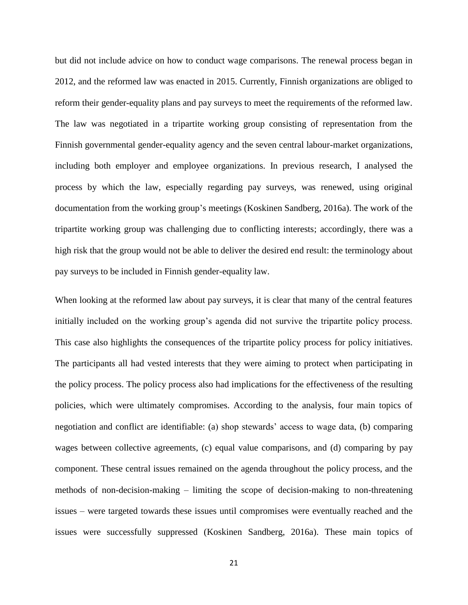but did not include advice on how to conduct wage comparisons. The renewal process began in 2012, and the reformed law was enacted in 2015. Currently, Finnish organizations are obliged to reform their gender-equality plans and pay surveys to meet the requirements of the reformed law. The law was negotiated in a tripartite working group consisting of representation from the Finnish governmental gender-equality agency and the seven central labour-market organizations, including both employer and employee organizations. In previous research, I analysed the process by which the law, especially regarding pay surveys, was renewed, using original documentation from the working group's meetings (Koskinen Sandberg, 2016a). The work of the tripartite working group was challenging due to conflicting interests; accordingly, there was a high risk that the group would not be able to deliver the desired end result: the terminology about pay surveys to be included in Finnish gender-equality law.

When looking at the reformed law about pay surveys, it is clear that many of the central features initially included on the working group's agenda did not survive the tripartite policy process. This case also highlights the consequences of the tripartite policy process for policy initiatives. The participants all had vested interests that they were aiming to protect when participating in the policy process. The policy process also had implications for the effectiveness of the resulting policies, which were ultimately compromises. According to the analysis, four main topics of negotiation and conflict are identifiable: (a) shop stewards' access to wage data, (b) comparing wages between collective agreements, (c) equal value comparisons, and (d) comparing by pay component. These central issues remained on the agenda throughout the policy process, and the methods of non-decision-making – limiting the scope of decision-making to non-threatening issues – were targeted towards these issues until compromises were eventually reached and the issues were successfully suppressed (Koskinen Sandberg, 2016a). These main topics of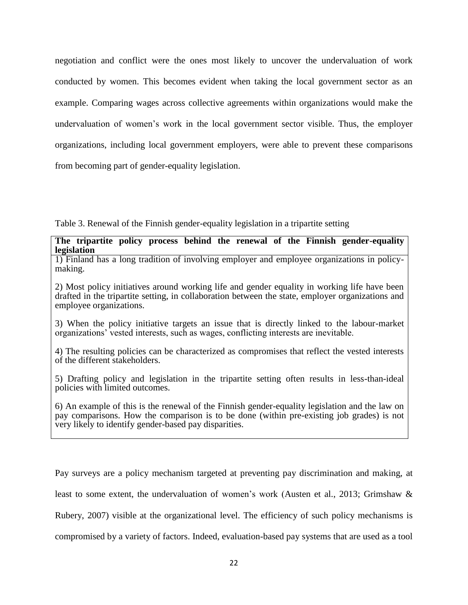negotiation and conflict were the ones most likely to uncover the undervaluation of work conducted by women. This becomes evident when taking the local government sector as an example. Comparing wages across collective agreements within organizations would make the undervaluation of women's work in the local government sector visible. Thus, the employer organizations, including local government employers, were able to prevent these comparisons from becoming part of gender-equality legislation.

Table 3. Renewal of the Finnish gender-equality legislation in a tripartite setting

## **The tripartite policy process behind the renewal of the Finnish gender-equality legislation**

1) Finland has a long tradition of involving employer and employee organizations in policymaking.

2) Most policy initiatives around working life and gender equality in working life have been drafted in the tripartite setting, in collaboration between the state, employer organizations and employee organizations.

3) When the policy initiative targets an issue that is directly linked to the labour-market organizations' vested interests, such as wages, conflicting interests are inevitable.

4) The resulting policies can be characterized as compromises that reflect the vested interests of the different stakeholders.

5) Drafting policy and legislation in the tripartite setting often results in less-than-ideal policies with limited outcomes.

6) An example of this is the renewal of the Finnish gender-equality legislation and the law on pay comparisons. How the comparison is to be done (within pre-existing job grades) is not very likely to identify gender-based pay disparities.

Pay surveys are a policy mechanism targeted at preventing pay discrimination and making, at least to some extent, the undervaluation of women's work (Austen et al., 2013; Grimshaw & Rubery, 2007) visible at the organizational level. The efficiency of such policy mechanisms is compromised by a variety of factors. Indeed, evaluation-based pay systems that are used as a tool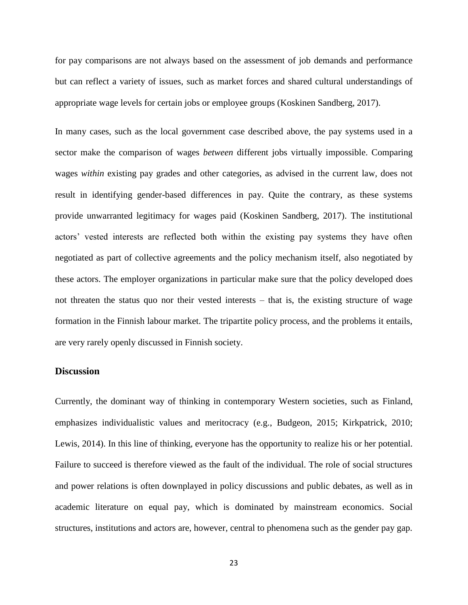for pay comparisons are not always based on the assessment of job demands and performance but can reflect a variety of issues, such as market forces and shared cultural understandings of appropriate wage levels for certain jobs or employee groups (Koskinen Sandberg, 2017).

In many cases, such as the local government case described above, the pay systems used in a sector make the comparison of wages *between* different jobs virtually impossible. Comparing wages *within* existing pay grades and other categories, as advised in the current law, does not result in identifying gender-based differences in pay. Quite the contrary, as these systems provide unwarranted legitimacy for wages paid (Koskinen Sandberg, 2017). The institutional actors' vested interests are reflected both within the existing pay systems they have often negotiated as part of collective agreements and the policy mechanism itself, also negotiated by these actors. The employer organizations in particular make sure that the policy developed does not threaten the status quo nor their vested interests – that is, the existing structure of wage formation in the Finnish labour market. The tripartite policy process, and the problems it entails, are very rarely openly discussed in Finnish society.

## **Discussion**

Currently, the dominant way of thinking in contemporary Western societies, such as Finland, emphasizes individualistic values and meritocracy (e.g., Budgeon, 2015; Kirkpatrick, 2010; Lewis, 2014). In this line of thinking, everyone has the opportunity to realize his or her potential. Failure to succeed is therefore viewed as the fault of the individual. The role of social structures and power relations is often downplayed in policy discussions and public debates, as well as in academic literature on equal pay, which is dominated by mainstream economics. Social structures, institutions and actors are, however, central to phenomena such as the gender pay gap.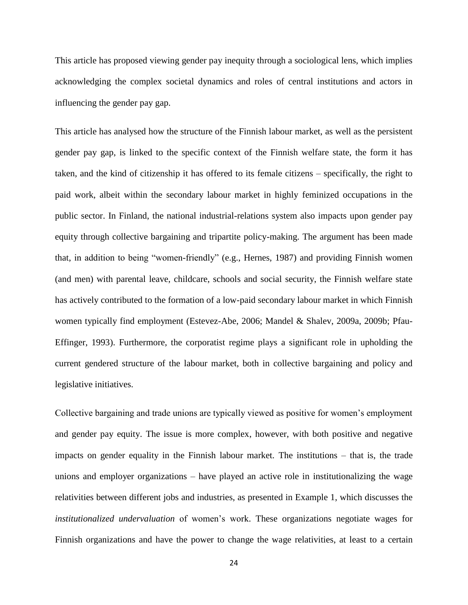This article has proposed viewing gender pay inequity through a sociological lens, which implies acknowledging the complex societal dynamics and roles of central institutions and actors in influencing the gender pay gap.

This article has analysed how the structure of the Finnish labour market, as well as the persistent gender pay gap, is linked to the specific context of the Finnish welfare state, the form it has taken, and the kind of citizenship it has offered to its female citizens – specifically, the right to paid work, albeit within the secondary labour market in highly feminized occupations in the public sector. In Finland, the national industrial-relations system also impacts upon gender pay equity through collective bargaining and tripartite policy-making. The argument has been made that, in addition to being "women-friendly" (e.g., Hernes, 1987) and providing Finnish women (and men) with parental leave, childcare, schools and social security, the Finnish welfare state has actively contributed to the formation of a low-paid secondary labour market in which Finnish women typically find employment (Estevez-Abe, 2006; Mandel & Shalev, 2009a, 2009b; Pfau-Effinger, 1993). Furthermore, the corporatist regime plays a significant role in upholding the current gendered structure of the labour market, both in collective bargaining and policy and legislative initiatives.

Collective bargaining and trade unions are typically viewed as positive for women's employment and gender pay equity. The issue is more complex, however, with both positive and negative impacts on gender equality in the Finnish labour market. The institutions – that is, the trade unions and employer organizations – have played an active role in institutionalizing the wage relativities between different jobs and industries, as presented in Example 1, which discusses the *institutionalized undervaluation* of women's work. These organizations negotiate wages for Finnish organizations and have the power to change the wage relativities, at least to a certain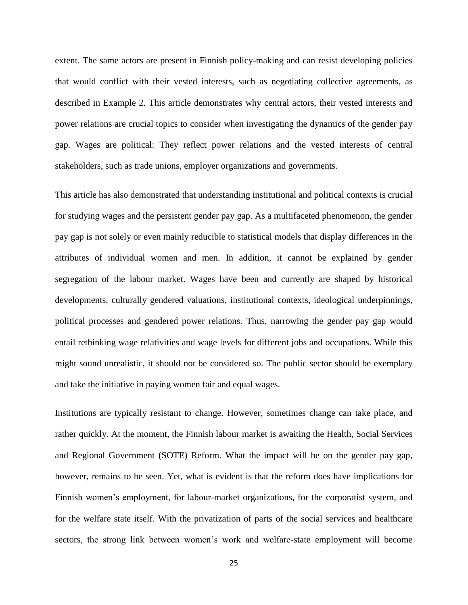extent. The same actors are present in Finnish policy-making and can resist developing policies that would conflict with their vested interests, such as negotiating collective agreements, as described in Example 2. This article demonstrates why central actors, their vested interests and power relations are crucial topics to consider when investigating the dynamics of the gender pay gap. Wages are political: They reflect power relations and the vested interests of central stakeholders, such as trade unions, employer organizations and governments.

This article has also demonstrated that understanding institutional and political contexts is crucial for studying wages and the persistent gender pay gap. As a multifaceted phenomenon, the gender pay gap is not solely or even mainly reducible to statistical models that display differences in the attributes of individual women and men. In addition, it cannot be explained by gender segregation of the labour market. Wages have been and currently are shaped by historical developments, culturally gendered valuations, institutional contexts, ideological underpinnings, political processes and gendered power relations. Thus, narrowing the gender pay gap would entail rethinking wage relativities and wage levels for different jobs and occupations. While this might sound unrealistic, it should not be considered so. The public sector should be exemplary and take the initiative in paying women fair and equal wages.

Institutions are typically resistant to change. However, sometimes change can take place, and rather quickly. At the moment, the Finnish labour market is awaiting the Health, Social Services and Regional Government (SOTE) Reform. What the impact will be on the gender pay gap, however, remains to be seen. Yet, what is evident is that the reform does have implications for Finnish women's employment, for labour-market organizations, for the corporatist system, and for the welfare state itself. With the privatization of parts of the social services and healthcare sectors, the strong link between women's work and welfare-state employment will become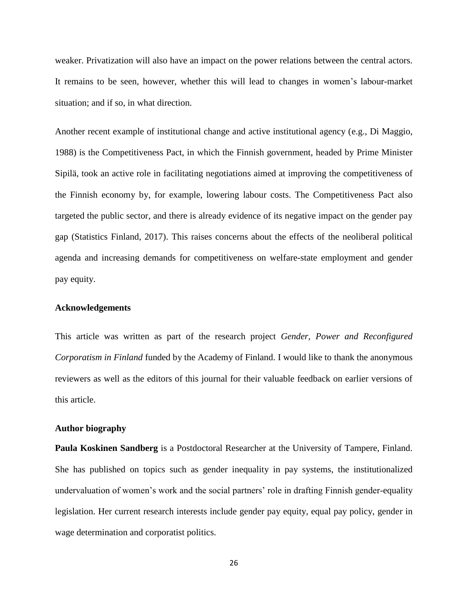weaker. Privatization will also have an impact on the power relations between the central actors. It remains to be seen, however, whether this will lead to changes in women's labour-market situation; and if so, in what direction.

Another recent example of institutional change and active institutional agency (e.g., Di Maggio, 1988) is the Competitiveness Pact, in which the Finnish government, headed by Prime Minister Sipilä, took an active role in facilitating negotiations aimed at improving the competitiveness of the Finnish economy by, for example, lowering labour costs. The Competitiveness Pact also targeted the public sector, and there is already evidence of its negative impact on the gender pay gap (Statistics Finland, 2017). This raises concerns about the effects of the neoliberal political agenda and increasing demands for competitiveness on welfare-state employment and gender pay equity.

#### **Acknowledgements**

This article was written as part of the research project *Gender, Power and Reconfigured Corporatism in Finland* funded by the Academy of Finland. I would like to thank the anonymous reviewers as well as the editors of this journal for their valuable feedback on earlier versions of this article.

#### **Author biography**

**Paula Koskinen Sandberg** is a Postdoctoral Researcher at the University of Tampere, Finland. She has published on topics such as gender inequality in pay systems, the institutionalized undervaluation of women's work and the social partners' role in drafting Finnish gender-equality legislation. Her current research interests include gender pay equity, equal pay policy, gender in wage determination and corporatist politics.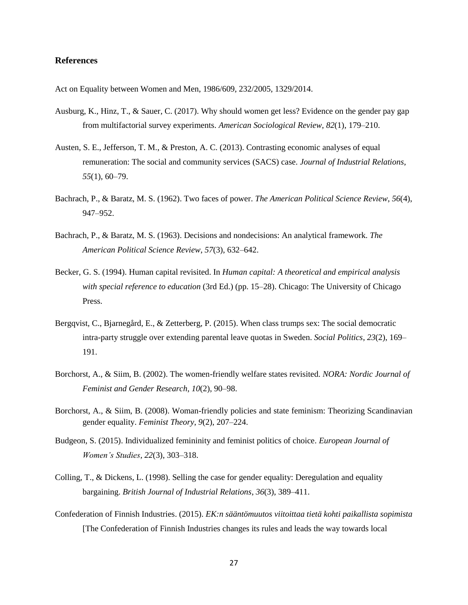#### **References**

Act on Equality between Women and Men, 1986/609, 232/2005, 1329/2014.

- Ausburg, K., Hinz, T., & Sauer, C. (2017). Why should women get less? Evidence on the gender pay gap from multifactorial survey experiments. *American Sociological Review*, *82*(1), 179–210.
- Austen, S. E., Jefferson, T. M., & Preston, A. C. (2013). Contrasting economic analyses of equal remuneration: The social and community services (SACS) case. *Journal of Industrial Relations*, *55*(1), 60–79.
- Bachrach, P., & Baratz, M. S. (1962). Two faces of power. *The American Political Science Review*, *56*(4), 947–952.
- Bachrach, P., & Baratz, M. S. (1963). Decisions and nondecisions: An analytical framework. *The American Political Science Review*, *57*(3), 632–642.
- Becker, G. S. (1994). Human capital revisited. In *Human capital: A theoretical and empirical analysis with special reference to education* (3rd Ed.) (pp. 15–28). Chicago: The University of Chicago Press.
- Bergqvist, C., Bjarnegård, E., & Zetterberg, P. (2015). When class trumps sex: The social democratic intra-party struggle over extending parental leave quotas in Sweden. *Social Politics*, *23*(2), 169– 191.
- Borchorst, A., & Siim, B. (2002). The women-friendly welfare states revisited. *NORA: Nordic Journal of Feminist and Gender Research*, *10*(2), 90–98.
- Borchorst, A., & Siim, B. (2008). Woman-friendly policies and state feminism: Theorizing Scandinavian gender equality. *Feminist Theory*, *9*(2), 207–224.
- Budgeon, S. (2015). Individualized femininity and feminist politics of choice. *European Journal of Women's Studies*, *22*(3), 303–318.
- Colling, T., & Dickens, L. (1998). Selling the case for gender equality: Deregulation and equality bargaining. *British Journal of Industrial Relations*, *36*(3), 389–411.
- Confederation of Finnish Industries. (2015). *EK:n sääntömuutos viitoittaa tietä kohti paikallista sopimista* [The Confederation of Finnish Industries changes its rules and leads the way towards local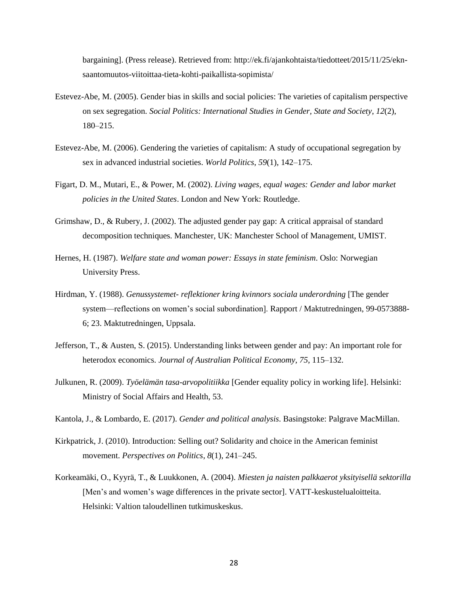bargaining]. (Press release). Retrieved from: http://ek.fi/ajankohtaista/tiedotteet/2015/11/25/eknsaantomuutos-viitoittaa-tieta-kohti-paikallista-sopimista/

- Estevez-Abe, M. (2005). Gender bias in skills and social policies: The varieties of capitalism perspective on sex segregation. *Social Politics: International Studies in Gender, State and Society*, *12*(2), 180–215.
- Estevez-Abe, M. (2006). Gendering the varieties of capitalism: A study of occupational segregation by sex in advanced industrial societies. *World Politics*, *59*(1), 142–175.
- Figart, D. M., Mutari, E., & Power, M. (2002). *Living wages, equal wages: Gender and labor market policies in the United States*. London and New York: Routledge.
- Grimshaw, D., & Rubery, J. (2002). The adjusted gender pay gap: A critical appraisal of standard decomposition techniques. Manchester, UK: Manchester School of Management, UMIST.
- Hernes, H. (1987). *Welfare state and woman power: Essays in state feminism*. Oslo: Norwegian University Press.
- Hirdman, Y. (1988). *Genussystemet- reflektioner kring kvinnors sociala underordning* [The gender system—reflections on women's social subordination]. Rapport / Maktutredningen, 99-0573888- 6; 23. Maktutredningen, Uppsala.
- Jefferson, T., & Austen, S. (2015). Understanding links between gender and pay: An important role for heterodox economics. *Journal of Australian Political Economy*, *75*, 115–132.
- Julkunen, R. (2009). *Työelämän tasa-arvopolitiikka* [Gender equality policy in working life]. Helsinki: Ministry of Social Affairs and Health, 53.
- Kantola, J., & Lombardo, E. (2017). *Gender and political analysis*. Basingstoke: Palgrave MacMillan.
- Kirkpatrick, J. (2010). Introduction: Selling out? Solidarity and choice in the American feminist movement. *Perspectives on Politics*, *8*(1), 241–245.
- Korkeamäki, O., Kyyrä, T., & Luukkonen, A. (2004). *Miesten ja naisten palkkaerot yksityisellä sektorilla* [Men's and women's wage differences in the private sector]. VATT-keskustelualoitteita. Helsinki: Valtion taloudellinen tutkimuskeskus.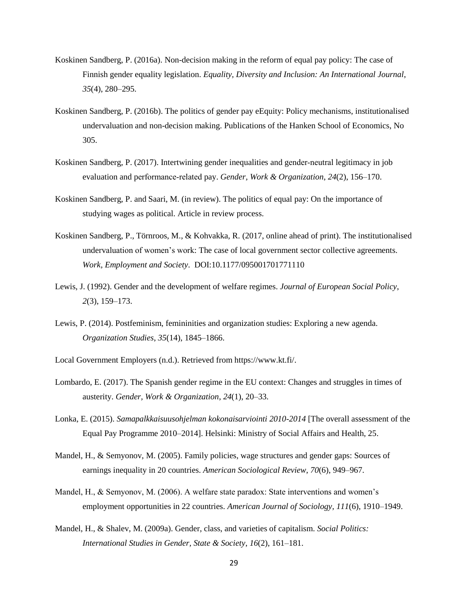- Koskinen Sandberg, P. (2016a). Non-decision making in the reform of equal pay policy: The case of Finnish gender equality legislation. *Equality, Diversity and Inclusion: An International Journal*, *35*(4), 280–295.
- Koskinen Sandberg, P. (2016b). The politics of gender pay eEquity: Policy mechanisms, institutionalised undervaluation and non-decision making. Publications of the Hanken School of Economics, No 305.
- Koskinen Sandberg, P. (2017). Intertwining gender inequalities and gender‐neutral legitimacy in job evaluation and performance‐related pay. *Gender, Work & Organization*, *24*(2), 156–170.
- Koskinen Sandberg, P. and Saari, M. (in review). The politics of equal pay: On the importance of studying wages as political. Article in review process.
- Koskinen Sandberg, P., Törnroos, M., & Kohvakka, R. (2017, online ahead of print). The institutionalised undervaluation of women's work: The case of local government sector collective agreements. *Work, Employment and Society*. DOI:10.1177/095001701771110
- Lewis, J. (1992). Gender and the development of welfare regimes. *Journal of European Social Policy*, *2*(3), 159–173.
- Lewis, P. (2014). Postfeminism, femininities and organization studies: Exploring a new agenda. *Organization Studies*, *35*(14), 1845–1866.
- Local Government Employers (n.d.). Retrieved from https://www.kt.fi/.
- Lombardo, E. (2017). The Spanish gender regime in the EU context: Changes and struggles in times of austerity. *Gender, Work & Organization*, *24*(1), 20–33.
- Lonka, E. (2015). *Samapalkkaisuusohjelman kokonaisarviointi 2010-2014* [The overall assessment of the Equal Pay Programme 2010–2014]. Helsinki: Ministry of Social Affairs and Health, 25.
- Mandel, H., & Semyonov, M. (2005). Family policies, wage structures and gender gaps: Sources of earnings inequality in 20 countries. *American Sociological Review*, *70*(6), 949–967.
- Mandel, H., & Semyonov, M. (2006). A welfare state paradox: State interventions and women's employment opportunities in 22 countries. *American Journal of Sociology, 111*(6), 1910–1949.
- Mandel, H., & Shalev, M. (2009a). Gender, class, and varieties of capitalism. *Social Politics: International Studies in Gender, State & Society*, *16*(2), 161–181.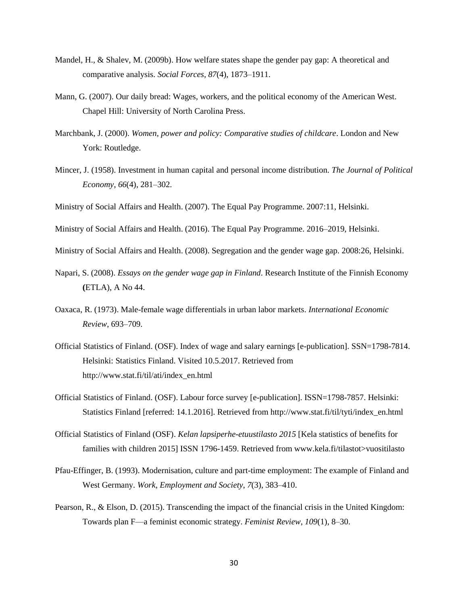- Mandel, H., & Shalev, M. (2009b). How welfare states shape the gender pay gap: A theoretical and comparative analysis. *Social Forces*, *87*(4), 1873–1911.
- Mann, G. (2007). Our daily bread: Wages, workers, and the political economy of the American West. Chapel Hill: University of North Carolina Press.
- Marchbank, J. (2000). *Women, power and policy: Comparative studies of childcare*. London and New York: Routledge.
- Mincer, J. (1958). Investment in human capital and personal income distribution. *The Journal of Political Economy*, *66*(4), 281–302.
- Ministry of Social Affairs and Health. (2007). The Equal Pay Programme. 2007:11, Helsinki.
- Ministry of Social Affairs and Health. (2016). The Equal Pay Programme. 2016–2019, Helsinki.

Ministry of Social Affairs and Health. (2008). Segregation and the gender wage gap. 2008:26, Helsinki.

- Napari, S. (2008). *Essays on the gender wage gap in Finland*. Research Institute of the Finnish Economy **(**ETLA), A No 44.
- Oaxaca, R. (1973). Male-female wage differentials in urban labor markets. *International Economic Review*, 693–709.
- Official Statistics of Finland. (OSF). Index of wage and salary earnings [e-publication]. SSN=1798-7814. Helsinki: Statistics Finland. Visited 10.5.2017. Retrieved from http://www.stat.fi/til/ati/index\_en.html
- Official Statistics of Finland. (OSF). Labour force survey [e-publication]. ISSN=1798-7857. Helsinki: Statistics Finland [referred: 14.1.2016]. Retrieved from http://www.stat.fi/til/tyti/index\_en.html
- Official Statistics of Finland (OSF). *Kelan lapsiperhe-etuustilasto 2015* [Kela statistics of benefits for families with children 2015] ISSN 1796-1459. Retrieved from www.kela.fi/tilastot>vuositilasto
- Pfau-Effinger, B. (1993). Modernisation, culture and part-time employment: The example of Finland and West Germany. *Work, Employment and Society*, *7*(3), 383–410.
- Pearson, R., & Elson, D. (2015). Transcending the impact of the financial crisis in the United Kingdom: Towards plan F—a feminist economic strategy. *Feminist Review*, *109*(1), 8–30.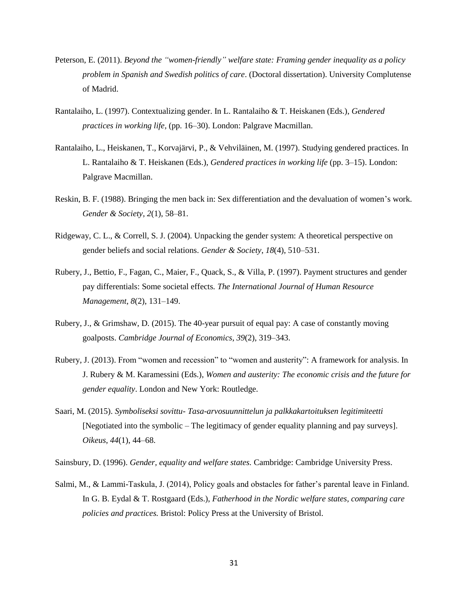- Peterson, E. (2011). *Beyond the "women-friendly" welfare state: Framing gender inequality as a policy problem in Spanish and Swedish politics of care*. (Doctoral dissertation). University Complutense of Madrid.
- Rantalaiho, L. (1997). Contextualizing gender. In L. Rantalaiho & T. Heiskanen (Eds.), *Gendered practices in working life,* (pp. 16–30). London: Palgrave Macmillan.
- Rantalaiho, L., Heiskanen, T., Korvajärvi, P., & Vehviläinen, M. (1997). Studying gendered practices. In L. Rantalaiho & T. Heiskanen (Eds.), *Gendered practices in working life* (pp. 3–15). London: Palgrave Macmillan.
- Reskin, B. F. (1988). Bringing the men back in: Sex differentiation and the devaluation of women's work. *Gender & Society*, *2*(1), 58–81.
- Ridgeway, C. L., & Correll, S. J. (2004). Unpacking the gender system: A theoretical perspective on gender beliefs and social relations. *Gender & Society*, *18*(4), 510–531.
- Rubery, J., Bettio, F., Fagan, C., Maier, F., Quack, S., & Villa, P. (1997). Payment structures and gender pay differentials: Some societal effects*. The International Journal of Human Resource Management*, *8*(2), 131–149.
- Rubery, J., & Grimshaw, D. (2015). The 40-year pursuit of equal pay: A case of constantly moving goalposts. *Cambridge Journal of Economics*, *39*(2), 319–343.
- Rubery, J. (2013). From "women and recession" to "women and austerity": A framework for analysis. In J. Rubery & M. Karamessini (Eds.), *Women and austerity: The economic crisis and the future for gender equality*. London and New York: Routledge.
- Saari, M. (2015). *Symboliseksi sovittu- Tasa-arvosuunnittelun ja palkkakartoituksen legitimiteetti* [Negotiated into the symbolic – The legitimacy of gender equality planning and pay surveys]. *Oikeus*, *44*(1), 44–68.

Sainsbury, D. (1996). *Gender, equality and welfare states.* Cambridge: Cambridge University Press.

Salmi, M., & Lammi-Taskula, J. (2014), Policy goals and obstacles for father's parental leave in Finland. In G. B. Eydal & T. Rostgaard (Eds.), *Fatherhood in the Nordic welfare states, comparing care policies and practices.* Bristol: Policy Press at the University of Bristol.